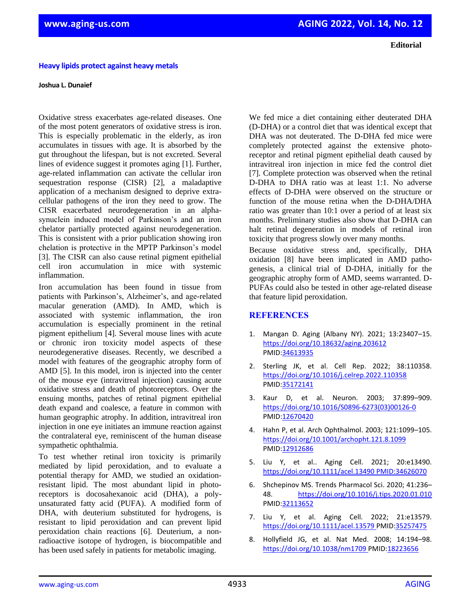## **Heavy lipids protect against heavy metals**

## **Joshua L. Dunaief**

Oxidative stress exacerbates age-related diseases. One of the most potent generators of oxidative stress is iron. This is especially problematic in the elderly, as iron accumulates in tissues with age. It is absorbed by the gut throughout the lifespan, but is not excreted. Several lines of evidence suggest it promotes aging [1]. Further, age-related inflammation can activate the cellular iron sequestration response (CISR) [2], a maladaptive application of a mechanism designed to deprive extracellular pathogens of the iron they need to grow. The CISR exacerbated neurodegeneration in an alphasynuclein induced model of Parkinson's and an iron chelator partially protected against neurodegeneration. This is consistent with a prior publication showing iron chelation is protective in the MPTP Parkinson's model [3]. The CISR can also cause retinal pigment epithelial cell iron accumulation in mice with systemic inflammation.

Iron accumulation has been found in tissue from patients with Parkinson's, Alzheimer's, and age-related macular generation (AMD). In AMD, which is associated with systemic inflammation, the iron accumulation is especially prominent in the retinal pigment epithelium [4]. Several mouse lines with acute or chronic iron toxicity model aspects of these neurodegenerative diseases. Recently, we described a model with features of the geographic atrophy form of AMD [5]. In this model, iron is injected into the center of the mouse eye (intravitreal injection) causing acute oxidative stress and death of photoreceptors. Over the ensuing months, patches of retinal pigment epithelial death expand and coalesce, a feature in common with human geographic atrophy. In addition, intravitreal iron injection in one eye initiates an immune reaction against the contralateral eye, reminiscent of the human disease sympathetic ophthalmia.

To test whether retinal iron toxicity is primarily mediated by lipid peroxidation, and to evaluate a potential therapy for AMD, we studied an oxidationresistant lipid. The most abundant lipid in photoreceptors is docosahexanoic acid (DHA), a polyunsaturated fatty acid (PUFA). A modified form of DHA, with deuterium substituted for hydrogens, is resistant to lipid peroxidation and can prevent lipid peroxidation chain reactions [6]. Deuterium, a nonradioactive isotope of hydrogen, is biocompatible and has been used safely in patients for metabolic imaging.

We fed mice a diet containing either deuterated DHA (D-DHA) or a control diet that was identical except that DHA was not deuterated. The D-DHA fed mice were completely protected against the extensive photoreceptor and retinal pigment epithelial death caused by intravitreal iron injection in mice fed the control diet [7]. Complete protection was observed when the retinal D-DHA to DHA ratio was at least 1:1. No adverse effects of D-DHA were observed on the structure or function of the mouse retina when the D-DHA/DHA ratio was greater than 10:1 over a period of at least six months. Preliminary studies also show that D-DHA can halt retinal degeneration in models of retinal iron toxicity that progress slowly over many months.

Because oxidative stress and, specifically, DHA oxidation [8] have been implicated in AMD pathogenesis, a clinical trial of D-DHA, initially for the geographic atrophy form of AMD, seems warranted. D-PUFAs could also be tested in other age-related disease that feature lipid peroxidation.

## **REFERENCES**

- 1. Mangan D. Aging (Albany NY). 2021; 13:23407–15. <https://doi.org/10.18632/aging.203612> [PMID:34613935](https://pubmed.ncbi.nlm.nih.gov/34613935)
- 2. Sterling JK, et al. Cell Rep. 2022; 38:110358. <https://doi.org/10.1016/j.celrep.2022.110358> [PMID:35172141](https://pubmed.ncbi.nlm.nih.gov/35172141)
- 3. Kaur D, et al. Neuron. 2003; 37:899–909. [https://doi.org/10.1016/S0896-6273\(03\)00126-0](https://doi.org/10.1016/S0896-6273(03)00126-0) [PMID:12670420](https://pubmed.ncbi.nlm.nih.gov/12670420)
- 4. Hahn P, et al. Arch Ophthalmol. 2003; 121:1099–105. <https://doi.org/10.1001/archopht.121.8.1099> [PMID:12912686](https://pubmed.ncbi.nlm.nih.gov/12912686)
- 5. Liu Y, et al.. Aging Cell. 2021; 20:e13490. <https://doi.org/10.1111/acel.13490> [PMID:34626070](https://pubmed.ncbi.nlm.nih.gov/34626070)
- 6. Shchepinov MS. Trends Pharmacol Sci. 2020; 41:236– 48. <https://doi.org/10.1016/j.tips.2020.01.010> [PMID:32113652](https://pubmed.ncbi.nlm.nih.gov/32113652)
- 7. Liu Y, et al. Aging Cell. 2022; 21:e13579. <https://doi.org/10.1111/acel.13579> [PMID:35257475](https://pubmed.ncbi.nlm.nih.gov/35257475)
- 8. Hollyfield JG, et al. Nat Med. 2008; 14:194–98. <https://doi.org/10.1038/nm1709> [PMID:18223656](https://pubmed.ncbi.nlm.nih.gov/18223656)